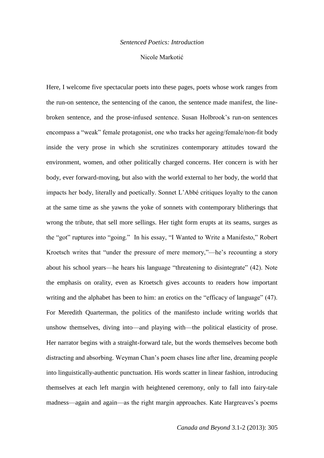## *Sentenced Poetics: Introduction*

## Nicole Markotić

Here, I welcome five spectacular poets into these pages, poets whose work ranges from the run-on sentence, the sentencing of the canon, the sentence made manifest, the linebroken sentence, and the prose-infused sentence. Susan Holbrook's run-on sentences encompass a "weak" female protagonist, one who tracks her ageing/female/non-fit body inside the very prose in which she scrutinizes contemporary attitudes toward the environment, women, and other politically charged concerns. Her concern is with her body, ever forward-moving, but also with the world external to her body, the world that impacts her body, literally and poetically. Sonnet L'Abbé critiques loyalty to the canon at the same time as she yawns the yoke of sonnets with contemporary blitherings that wrong the tribute, that sell more sellings. Her tight form erupts at its seams, surges as the "got" ruptures into "going." In his essay, "I Wanted to Write a Manifesto," Robert Kroetsch writes that "under the pressure of mere memory,"—he's recounting a story about his school years—he hears his language "threatening to disintegrate" (42). Note the emphasis on orality, even as Kroetsch gives accounts to readers how important writing and the alphabet has been to him: an erotics on the "efficacy of language" (47). For Meredith Quarterman, the politics of the manifesto include writing worlds that unshow themselves, diving into—and playing with—the political elasticity of prose. Her narrator begins with a straight-forward tale, but the words themselves become both distracting and absorbing. Weyman Chan's poem chases line after line, dreaming people into linguistically-authentic punctuation. His words scatter in linear fashion, introducing themselves at each left margin with heightened ceremony, only to fall into fairy-tale madness—again and again—as the right margin approaches. Kate Hargreaves's poems